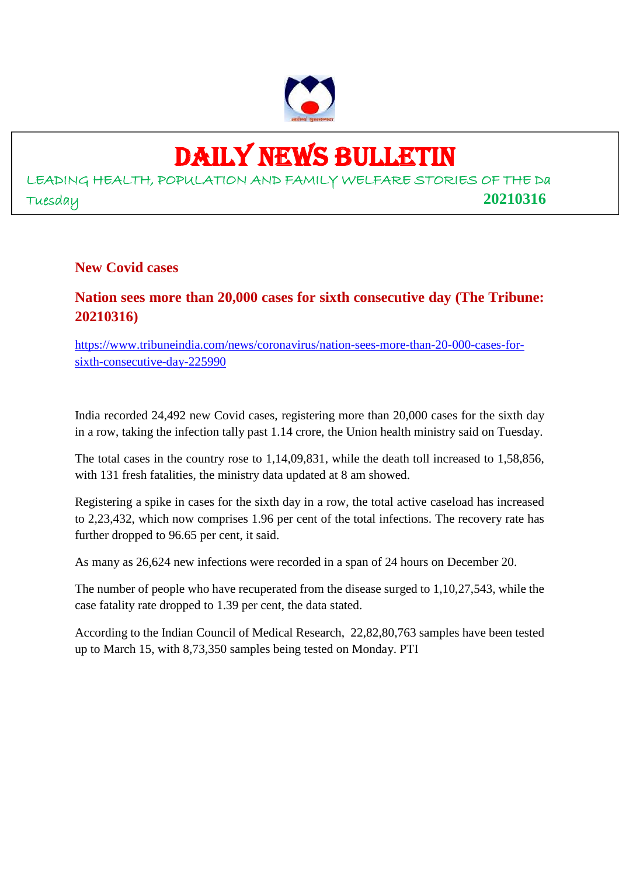

# DAILY NEWS BULLETIN

LEADING HEALTH, POPULATION AND FAMILY WELFARE STORIES OF THE Da Tuesday **20210316**

**New Covid cases**

## **Nation sees more than 20,000 cases for sixth consecutive day (The Tribune: 20210316)**

https://www.tribuneindia.com/news/coronavirus/nation-sees-more-than-20-000-cases-forsixth-consecutive-day-225990

India recorded 24,492 new Covid cases, registering more than 20,000 cases for the sixth day in a row, taking the infection tally past 1.14 crore, the Union health ministry said on Tuesday.

The total cases in the country rose to 1,14,09,831, while the death toll increased to 1,58,856, with 131 fresh fatalities, the ministry data updated at 8 am showed.

Registering a spike in cases for the sixth day in a row, the total active caseload has increased to 2,23,432, which now comprises 1.96 per cent of the total infections. The recovery rate has further dropped to 96.65 per cent, it said.

As many as 26,624 new infections were recorded in a span of 24 hours on December 20.

The number of people who have recuperated from the disease surged to 1,10,27,543, while the case fatality rate dropped to 1.39 per cent, the data stated.

According to the Indian Council of Medical Research, 22,82,80,763 samples have been tested up to March 15, with 8,73,350 samples being tested on Monday. PTI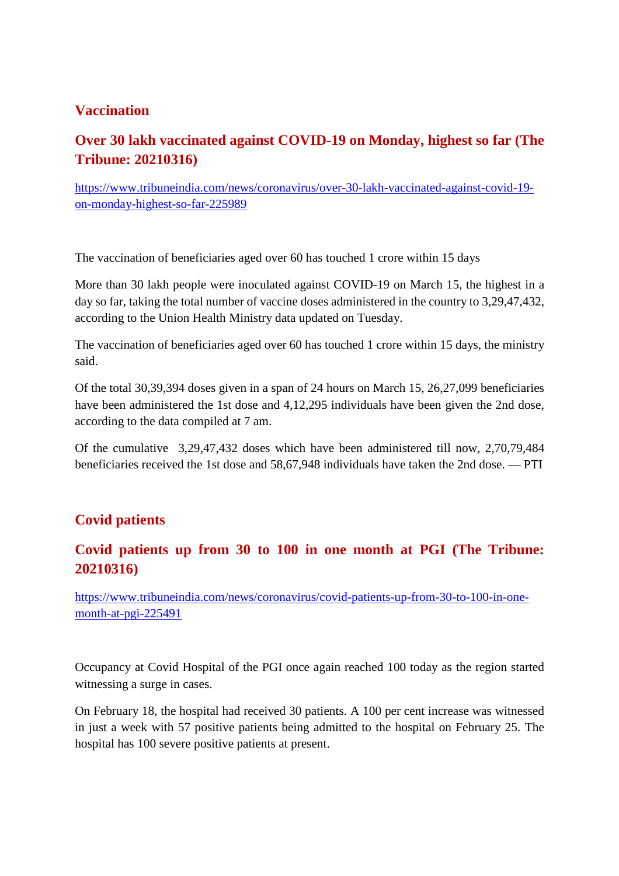### **Vaccination**

# **Over 30 lakh vaccinated against COVID-19 on Monday, highest so far (The Tribune: 20210316)**

https://www.tribuneindia.com/news/coronavirus/over-30-lakh-vaccinated-against-covid-19 on-monday-highest-so-far-225989

The vaccination of beneficiaries aged over 60 has touched 1 crore within 15 days

More than 30 lakh people were inoculated against COVID-19 on March 15, the highest in a day so far, taking the total number of vaccine doses administered in the country to 3,29,47,432, according to the Union Health Ministry data updated on Tuesday.

The vaccination of beneficiaries aged over 60 has touched 1 crore within 15 days, the ministry said.

Of the total 30,39,394 doses given in a span of 24 hours on March 15, 26,27,099 beneficiaries have been administered the 1st dose and 4,12,295 individuals have been given the 2nd dose, according to the data compiled at 7 am.

Of the cumulative 3,29,47,432 doses which have been administered till now, 2,70,79,484 beneficiaries received the 1st dose and 58,67,948 individuals have taken the 2nd dose. — PTI

## **Covid patients**

### **Covid patients up from 30 to 100 in one month at PGI (The Tribune: 20210316)**

https://www.tribuneindia.com/news/coronavirus/covid-patients-up-from-30-to-100-in-onemonth-at-pgi-225491

Occupancy at Covid Hospital of the PGI once again reached 100 today as the region started witnessing a surge in cases.

On February 18, the hospital had received 30 patients. A 100 per cent increase was witnessed in just a week with 57 positive patients being admitted to the hospital on February 25. The hospital has 100 severe positive patients at present.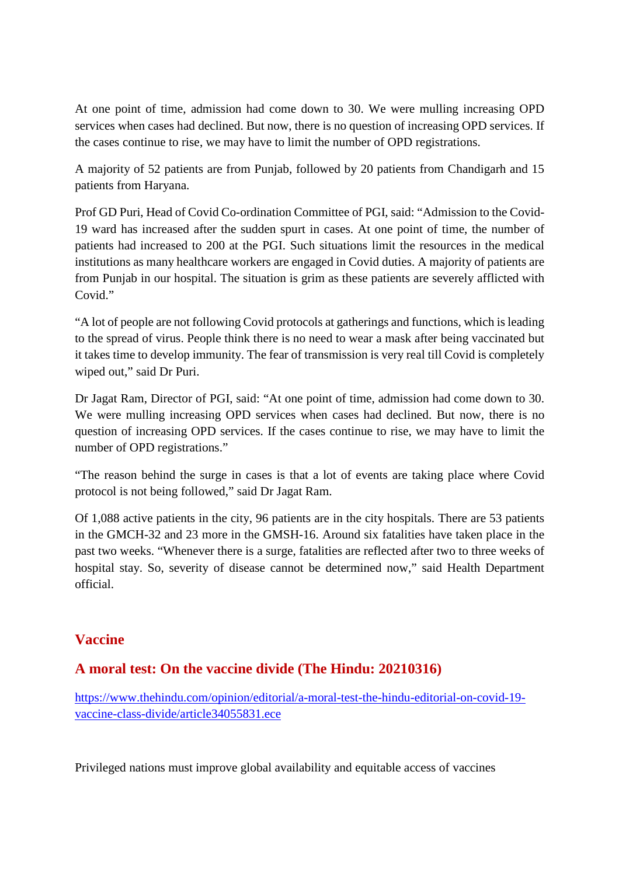At one point of time, admission had come down to 30. We were mulling increasing OPD services when cases had declined. But now, there is no question of increasing OPD services. If the cases continue to rise, we may have to limit the number of OPD registrations.

A majority of 52 patients are from Punjab, followed by 20 patients from Chandigarh and 15 patients from Haryana.

Prof GD Puri, Head of Covid Co-ordination Committee of PGI, said: "Admission to the Covid-19 ward has increased after the sudden spurt in cases. At one point of time, the number of patients had increased to 200 at the PGI. Such situations limit the resources in the medical institutions as many healthcare workers are engaged in Covid duties. A majority of patients are from Punjab in our hospital. The situation is grim as these patients are severely afflicted with Covid<sup>"</sup>

"A lot of people are not following Covid protocols at gatherings and functions, which is leading to the spread of virus. People think there is no need to wear a mask after being vaccinated but it takes time to develop immunity. The fear of transmission is very real till Covid is completely wiped out," said Dr Puri.

Dr Jagat Ram, Director of PGI, said: "At one point of time, admission had come down to 30. We were mulling increasing OPD services when cases had declined. But now, there is no question of increasing OPD services. If the cases continue to rise, we may have to limit the number of OPD registrations."

"The reason behind the surge in cases is that a lot of events are taking place where Covid protocol is not being followed," said Dr Jagat Ram.

Of 1,088 active patients in the city, 96 patients are in the city hospitals. There are 53 patients in the GMCH-32 and 23 more in the GMSH-16. Around six fatalities have taken place in the past two weeks. "Whenever there is a surge, fatalities are reflected after two to three weeks of hospital stay. So, severity of disease cannot be determined now," said Health Department official.

## **Vaccine**

## **A moral test: On the vaccine divide (The Hindu: 20210316)**

https://www.thehindu.com/opinion/editorial/a-moral-test-the-hindu-editorial-on-covid-19 vaccine-class-divide/article34055831.ece

Privileged nations must improve global availability and equitable access of vaccines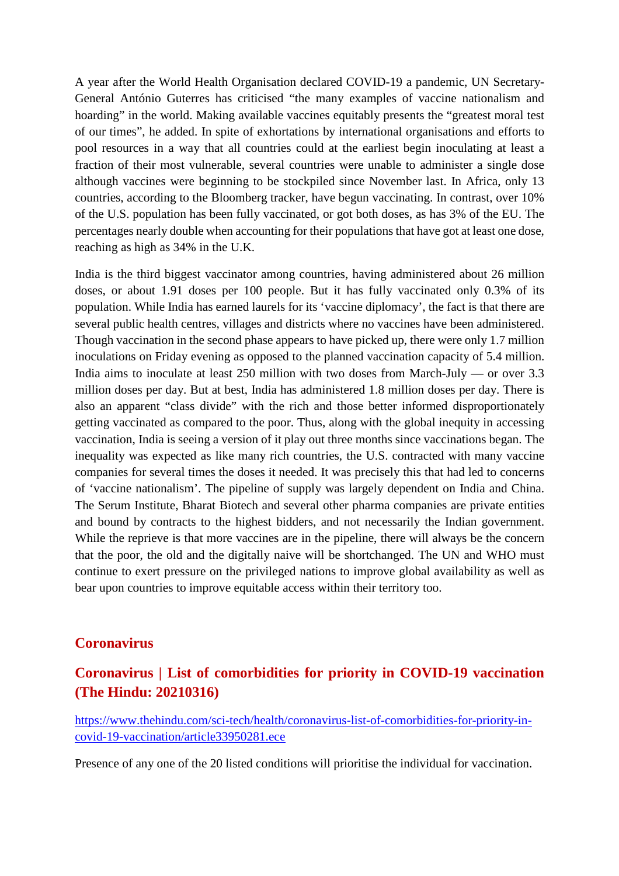A year after the World Health Organisation declared COVID-19 a pandemic, UN Secretary-General António Guterres has criticised "the many examples of vaccine nationalism and hoarding" in the world. Making available vaccines equitably presents the "greatest moral test of our times", he added. In spite of exhortations by international organisations and efforts to pool resources in a way that all countries could at the earliest begin inoculating at least a fraction of their most vulnerable, several countries were unable to administer a single dose although vaccines were beginning to be stockpiled since November last. In Africa, only 13 countries, according to the Bloomberg tracker, have begun vaccinating. In contrast, over 10% of the U.S. population has been fully vaccinated, or got both doses, as has 3% of the EU. The percentages nearly double when accounting for their populations that have got at least one dose, reaching as high as 34% in the U.K.

India is the third biggest vaccinator among countries, having administered about 26 million doses, or about 1.91 doses per 100 people. But it has fully vaccinated only 0.3% of its population. While India has earned laurels for its 'vaccine diplomacy', the fact is that there are several public health centres, villages and districts where no vaccines have been administered. Though vaccination in the second phase appears to have picked up, there were only 1.7 million inoculations on Friday evening as opposed to the planned vaccination capacity of 5.4 million. India aims to inoculate at least 250 million with two doses from March-July — or over 3.3 million doses per day. But at best, India has administered 1.8 million doses per day. There is also an apparent "class divide" with the rich and those better informed disproportionately getting vaccinated as compared to the poor. Thus, along with the global inequity in accessing vaccination, India is seeing a version of it play out three months since vaccinations began. The inequality was expected as like many rich countries, the U.S. contracted with many vaccine companies for several times the doses it needed. It was precisely this that had led to concerns of 'vaccine nationalism'. The pipeline of supply was largely dependent on India and China. The Serum Institute, Bharat Biotech and several other pharma companies are private entities and bound by contracts to the highest bidders, and not necessarily the Indian government. While the reprieve is that more vaccines are in the pipeline, there will always be the concern that the poor, the old and the digitally naive will be shortchanged. The UN and WHO must continue to exert pressure on the privileged nations to improve global availability as well as bear upon countries to improve equitable access within their territory too.

#### **Coronavirus**

### **Coronavirus | List of comorbidities for priority in COVID-19 vaccination (The Hindu: 20210316)**

https://www.thehindu.com/sci-tech/health/coronavirus-list-of-comorbidities-for-priority-incovid-19-vaccination/article33950281.ece

Presence of any one of the 20 listed conditions will prioritise the individual for vaccination.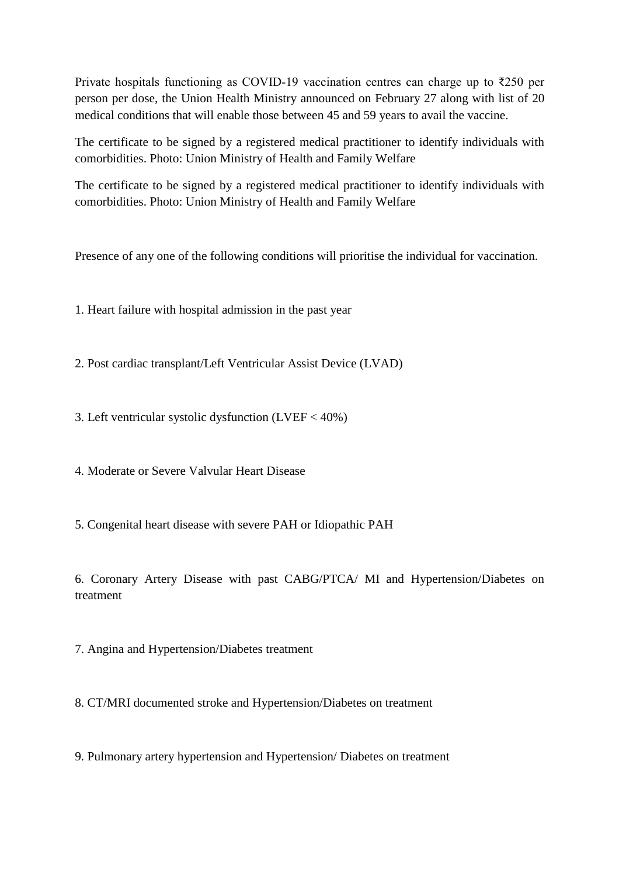Private hospitals functioning as COVID-19 vaccination centres can charge up to ₹250 per person per dose, the Union Health Ministry announced on February 27 along with list of 20 medical conditions that will enable those between 45 and 59 years to avail the vaccine.

The certificate to be signed by a registered medical practitioner to identify individuals with comorbidities. Photo: Union Ministry of Health and Family Welfare

The certificate to be signed by a registered medical practitioner to identify individuals with comorbidities. Photo: Union Ministry of Health and Family Welfare

Presence of any one of the following conditions will prioritise the individual for vaccination.

1. Heart failure with hospital admission in the past year

2. Post cardiac transplant/Left Ventricular Assist Device (LVAD)

3. Left ventricular systolic dysfunction (LVEF < 40%)

4. Moderate or Severe Valvular Heart Disease

5. Congenital heart disease with severe PAH or Idiopathic PAH

6. Coronary Artery Disease with past CABG/PTCA/ MI and Hypertension/Diabetes on treatment

7. Angina and Hypertension/Diabetes treatment

8. CT/MRI documented stroke and Hypertension/Diabetes on treatment

9. Pulmonary artery hypertension and Hypertension/ Diabetes on treatment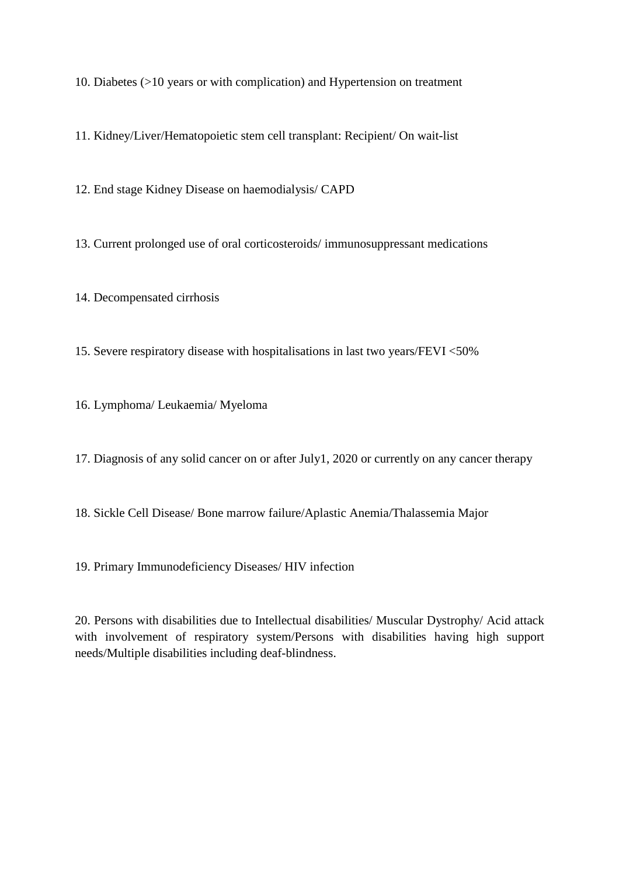10. Diabetes (>10 years or with complication) and Hypertension on treatment

11. Kidney/Liver/Hematopoietic stem cell transplant: Recipient/ On wait-list

12. End stage Kidney Disease on haemodialysis/ CAPD

13. Current prolonged use of oral corticosteroids/ immunosuppressant medications

14. Decompensated cirrhosis

15. Severe respiratory disease with hospitalisations in last two years/FEVI <50%

16. Lymphoma/ Leukaemia/ Myeloma

17. Diagnosis of any solid cancer on or after July1, 2020 or currently on any cancer therapy

18. Sickle Cell Disease/ Bone marrow failure/Aplastic Anemia/Thalassemia Major

19. Primary Immunodeficiency Diseases/ HIV infection

20. Persons with disabilities due to Intellectual disabilities/ Muscular Dystrophy/ Acid attack with involvement of respiratory system/Persons with disabilities having high support needs/Multiple disabilities including deaf-blindness.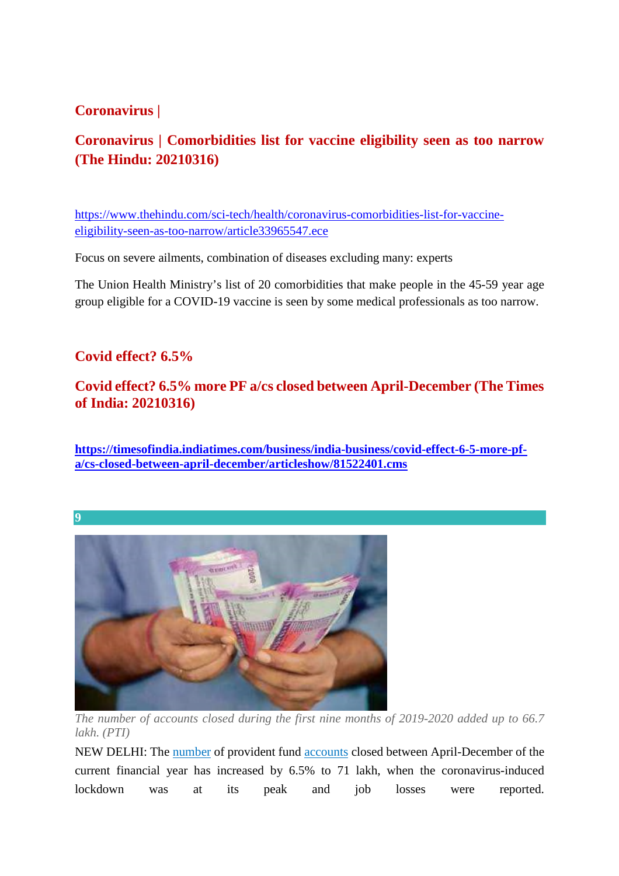### **Coronavirus |**

# **Coronavirus | Comorbidities list for vaccine eligibility seen as too narrow (The Hindu: 20210316)**

https://www.thehindu.com/sci-tech/health/coronavirus-comorbidities-list-for-vaccineeligibility-seen-as-too-narrow/article33965547.ece

Focus on severe ailments, combination of diseases excluding many: experts

The Union Health Ministry's list of 20 comorbidities that make people in the 45-59 year age group eligible for a COVID-19 vaccine is seen by some medical professionals as too narrow.

### **Covid effect? 6.5%**

### **Covid effect? 6.5% more PF a/cs closed between April-December (The Times of India: 20210316)**

**https://timesofindia.indiatimes.com/business/india-business/covid-effect-6-5-more-pfa/cs-closed-between-april-december/articleshow/81522401.cms**





*The number of accounts closed during the first nine months of 2019-2020 added up to 66.7 lakh. (PTI)*

NEW DELHI: The number of provident fund accounts closed between April-December of the current financial year has increased by 6.5% to 71 lakh, when the coronavirus-induced lockdown was at its peak and job losses were reported.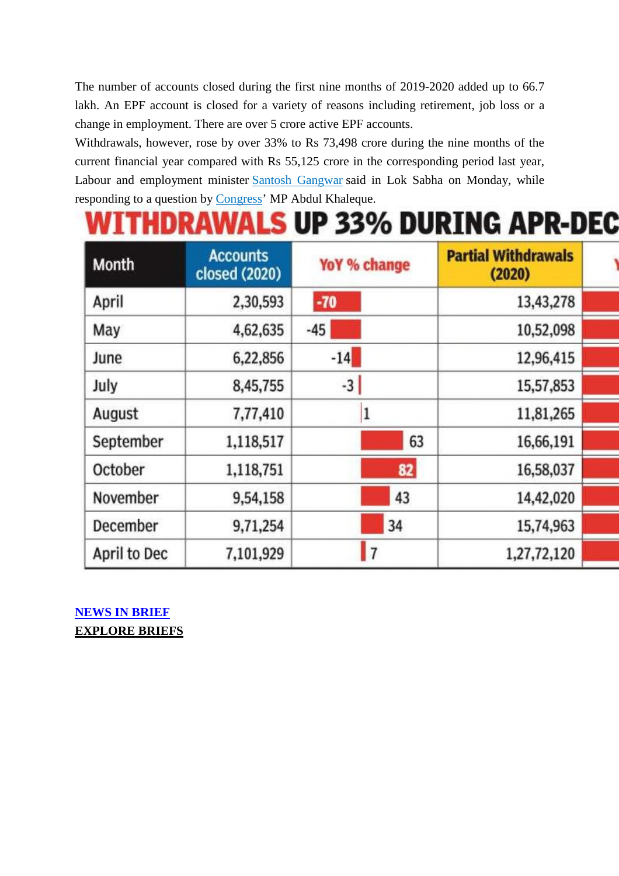The number of accounts closed during the first nine months of 2019-2020 added up to 66.7 lakh. An EPF account is closed for a variety of reasons including retirement, job loss or a change in employment. There are over 5 crore active EPF accounts.

Withdrawals, however, rose by over 33% to Rs 73,498 crore during the nine months of the current financial year compared with Rs 55,125 crore in the corresponding period last year, Labour and employment minister Santosh Gangwar said in Lok Sabha on Monday, while responding to a question by Congress' MP Abdul Khaleque.

# **WITHDRAWALS UP 33% DURING APR-DEC**

| <b>Month</b> | <b>Accounts</b><br>closed (2020) | YoY % change   | <b>Partial Withdrawals</b><br>(2020) |  |
|--------------|----------------------------------|----------------|--------------------------------------|--|
| April        | 2,30,593                         | $-70$          | 13,43,278                            |  |
| May          | 4,62,635                         | $-45$          | 10,52,098                            |  |
| June         | 6,22,856                         | $-14$          | 12,96,415                            |  |
| July         | 8,45,755                         | $-3$           | 15,57,853                            |  |
| August       | 7,77,410                         |                | 11,81,265                            |  |
| September    | 1,118,517                        | 63             | 16,66,191                            |  |
| October      | 1,118,751                        | 82             | 16,58,037                            |  |
| November     | 9,54,158                         | 43             | 14,42,020                            |  |
| December     | 9,71,254                         | 34             | 15,74,963                            |  |
| April to Dec | 7,101,929                        | $\overline{7}$ | 1,27,72,120                          |  |

**NEWS IN BRIEF EXPLORE BRIEFS**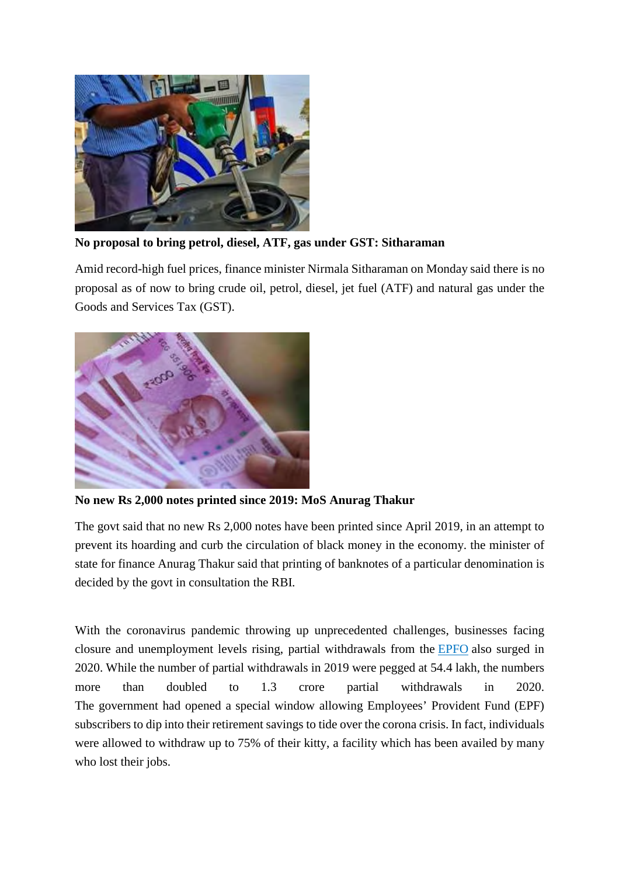

**No proposal to bring petrol, diesel, ATF, gas under GST: Sitharaman**

Amid record-high fuel prices, finance minister Nirmala Sitharaman on Monday said there is no proposal as of now to bring crude oil, petrol, diesel, jet fuel (ATF) and natural gas under the Goods and Services Tax (GST).



**No new Rs 2,000 notes printed since 2019: MoS Anurag Thakur**

The govt said that no new Rs 2,000 notes have been printed since April 2019, in an attempt to prevent its hoarding and curb the circulation of black money in the economy. the minister of state for finance Anurag Thakur said that printing of banknotes of a particular denomination is decided by the govt in consultation the RBI.

With the coronavirus pandemic throwing up unprecedented challenges, businesses facing closure and unemployment levels rising, partial withdrawals from the EPFO also surged in 2020. While the number of partial withdrawals in 2019 were pegged at 54.4 lakh, the numbers more than doubled to 1.3 crore partial withdrawals in 2020. The government had opened a special window allowing Employees' Provident Fund (EPF) subscribers to dip into their retirement savings to tide over the corona crisis. In fact, individuals were allowed to withdraw up to 75% of their kitty, a facility which has been availed by many who lost their jobs.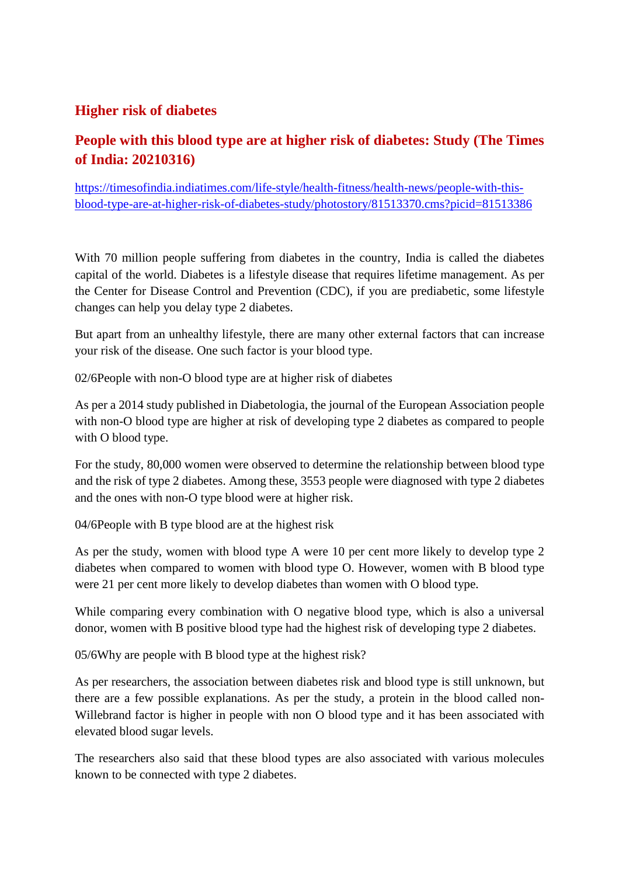### **Higher risk of diabetes**

# **People with this blood type are at higher risk of diabetes: Study (The Times of India: 20210316)**

https://timesofindia.indiatimes.com/life-style/health-fitness/health-news/people-with-thisblood-type-are-at-higher-risk-of-diabetes-study/photostory/81513370.cms?picid=81513386

With 70 million people suffering from diabetes in the country, India is called the diabetes capital of the world. Diabetes is a lifestyle disease that requires lifetime management. As per the Center for Disease Control and Prevention (CDC), if you are prediabetic, some lifestyle changes can help you delay type 2 diabetes.

But apart from an unhealthy lifestyle, there are many other external factors that can increase your risk of the disease. One such factor is your blood type.

02/6People with non-O blood type are at higher risk of diabetes

As per a 2014 study published in Diabetologia, the journal of the European Association people with non-O blood type are higher at risk of developing type 2 diabetes as compared to people with O blood type.

For the study, 80,000 women were observed to determine the relationship between blood type and the risk of type 2 diabetes. Among these, 3553 people were diagnosed with type 2 diabetes and the ones with non-O type blood were at higher risk.

04/6People with B type blood are at the highest risk

As per the study, women with blood type A were 10 per cent more likely to develop type 2 diabetes when compared to women with blood type O. However, women with B blood type were 21 per cent more likely to develop diabetes than women with O blood type.

While comparing every combination with O negative blood type, which is also a universal donor, women with B positive blood type had the highest risk of developing type 2 diabetes.

05/6Why are people with B blood type at the highest risk?

As per researchers, the association between diabetes risk and blood type is still unknown, but there are a few possible explanations. As per the study, a protein in the blood called non-Willebrand factor is higher in people with non O blood type and it has been associated with elevated blood sugar levels.

The researchers also said that these blood types are also associated with various molecules known to be connected with type 2 diabetes.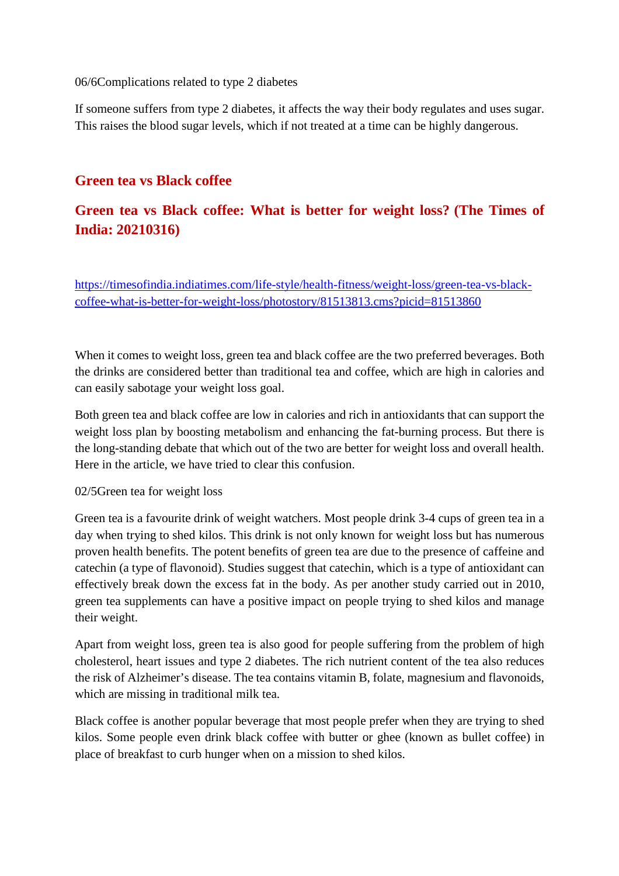06/6Complications related to type 2 diabetes

If someone suffers from type 2 diabetes, it affects the way their body regulates and uses sugar. This raises the blood sugar levels, which if not treated at a time can be highly dangerous.

### **Green tea vs Black coffee**

# **Green tea vs Black coffee: What is better for weight loss? (The Times of India: 20210316)**

https://timesofindia.indiatimes.com/life-style/health-fitness/weight-loss/green-tea-vs-blackcoffee-what-is-better-for-weight-loss/photostory/81513813.cms?picid=81513860

When it comes to weight loss, green tea and black coffee are the two preferred beverages. Both the drinks are considered better than traditional tea and coffee, which are high in calories and can easily sabotage your weight loss goal.

Both green tea and black coffee are low in calories and rich in antioxidants that can support the weight loss plan by boosting metabolism and enhancing the fat-burning process. But there is the long-standing debate that which out of the two are better for weight loss and overall health. Here in the article, we have tried to clear this confusion.

#### 02/5Green tea for weight loss

Green tea is a favourite drink of weight watchers. Most people drink 3-4 cups of green tea in a day when trying to shed kilos. This drink is not only known for weight loss but has numerous proven health benefits. The potent benefits of green tea are due to the presence of caffeine and catechin (a type of flavonoid). Studies suggest that catechin, which is a type of antioxidant can effectively break down the excess fat in the body. As per another study carried out in 2010, green tea supplements can have a positive impact on people trying to shed kilos and manage their weight.

Apart from weight loss, green tea is also good for people suffering from the problem of high cholesterol, heart issues and type 2 diabetes. The rich nutrient content of the tea also reduces the risk of Alzheimer's disease. The tea contains vitamin B, folate, magnesium and flavonoids, which are missing in traditional milk tea.

Black coffee is another popular beverage that most people prefer when they are trying to shed kilos. Some people even drink black coffee with butter or ghee (known as bullet coffee) in place of breakfast to curb hunger when on a mission to shed kilos.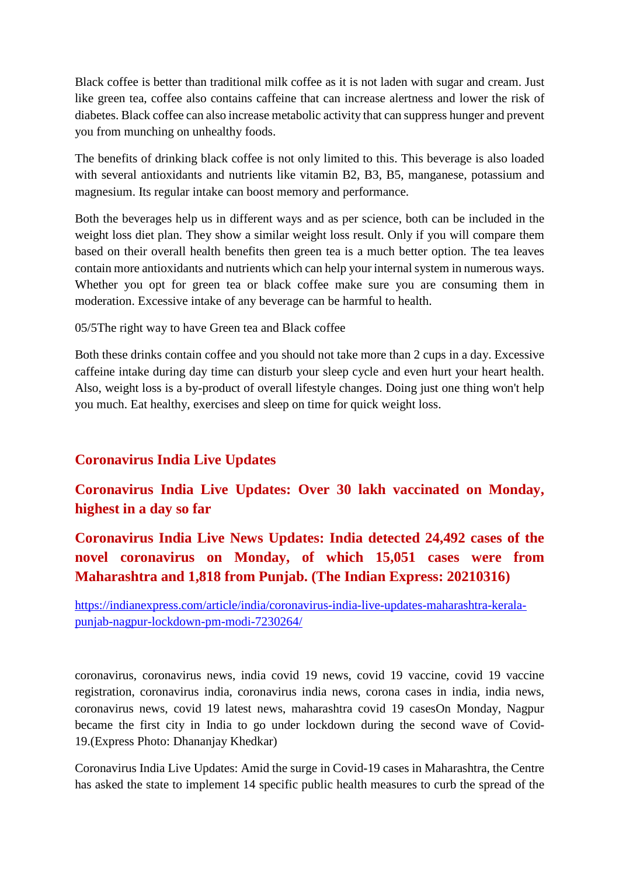Black coffee is better than traditional milk coffee as it is not laden with sugar and cream. Just like green tea, coffee also contains caffeine that can increase alertness and lower the risk of diabetes. Black coffee can also increase metabolic activity that can suppress hunger and prevent you from munching on unhealthy foods.

The benefits of drinking black coffee is not only limited to this. This beverage is also loaded with several antioxidants and nutrients like vitamin B2, B3, B5, manganese, potassium and magnesium. Its regular intake can boost memory and performance.

Both the beverages help us in different ways and as per science, both can be included in the weight loss diet plan. They show a similar weight loss result. Only if you will compare them based on their overall health benefits then green tea is a much better option. The tea leaves contain more antioxidants and nutrients which can help your internal system in numerous ways. Whether you opt for green tea or black coffee make sure you are consuming them in moderation. Excessive intake of any beverage can be harmful to health.

#### 05/5The right way to have Green tea and Black coffee

Both these drinks contain coffee and you should not take more than 2 cups in a day. Excessive caffeine intake during day time can disturb your sleep cycle and even hurt your heart health. Also, weight loss is a by-product of overall lifestyle changes. Doing just one thing won't help you much. Eat healthy, exercises and sleep on time for quick weight loss.

## **Coronavirus India Live Updates**

# **Coronavirus India Live Updates: Over 30 lakh vaccinated on Monday, highest in a day so far**

# **Coronavirus India Live News Updates: India detected 24,492 cases of the novel coronavirus on Monday, of which 15,051 cases were from Maharashtra and 1,818 from Punjab. (The Indian Express: 20210316)**

https://indianexpress.com/article/india/coronavirus-india-live-updates-maharashtra-keralapunjab-nagpur-lockdown-pm-modi-7230264/

coronavirus, coronavirus news, india covid 19 news, covid 19 vaccine, covid 19 vaccine registration, coronavirus india, coronavirus india news, corona cases in india, india news, coronavirus news, covid 19 latest news, maharashtra covid 19 casesOn Monday, Nagpur became the first city in India to go under lockdown during the second wave of Covid-19.(Express Photo: Dhananjay Khedkar)

Coronavirus India Live Updates: Amid the surge in Covid-19 cases in Maharashtra, the Centre has asked the state to implement 14 specific public health measures to curb the spread of the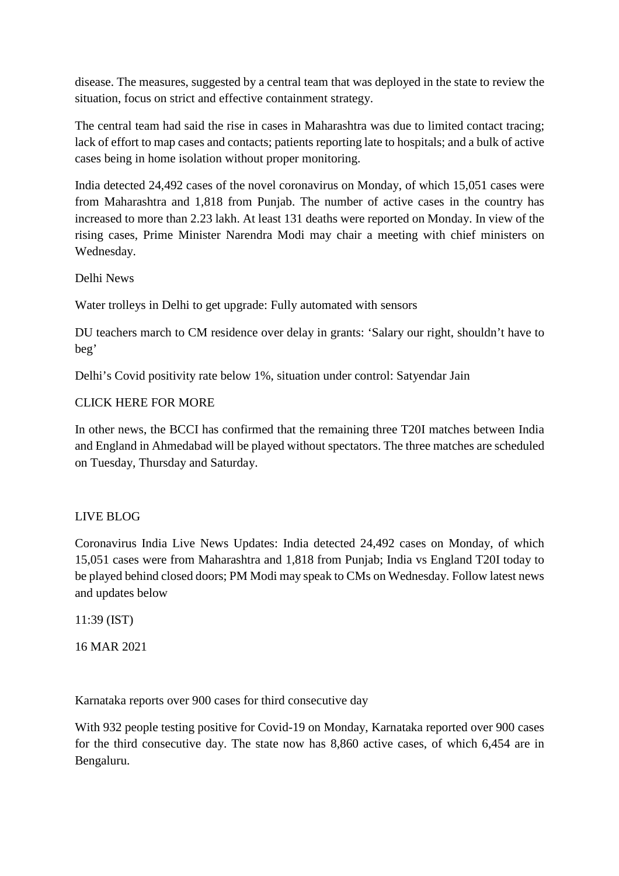disease. The measures, suggested by a central team that was deployed in the state to review the situation, focus on strict and effective containment strategy.

The central team had said the rise in cases in Maharashtra was due to limited contact tracing; lack of effort to map cases and contacts; patients reporting late to hospitals; and a bulk of active cases being in home isolation without proper monitoring.

India detected 24,492 cases of the novel coronavirus on Monday, of which 15,051 cases were from Maharashtra and 1,818 from Punjab. The number of active cases in the country has increased to more than 2.23 lakh. At least 131 deaths were reported on Monday. In view of the rising cases, Prime Minister Narendra Modi may chair a meeting with chief ministers on Wednesday.

Delhi News

Water trolleys in Delhi to get upgrade: Fully automated with sensors

DU teachers march to CM residence over delay in grants: 'Salary our right, shouldn't have to beg'

Delhi's Covid positivity rate below 1%, situation under control: Satyendar Jain

#### CLICK HERE FOR MORE

In other news, the BCCI has confirmed that the remaining three T20I matches between India and England in Ahmedabad will be played without spectators. The three matches are scheduled on Tuesday, Thursday and Saturday.

#### LIVE BLOG

Coronavirus India Live News Updates: India detected 24,492 cases on Monday, of which 15,051 cases were from Maharashtra and 1,818 from Punjab; India vs England T20I today to be played behind closed doors; PM Modi may speak to CMs on Wednesday. Follow latest news and updates below

11:39 (IST)

16 MAR 2021

Karnataka reports over 900 cases for third consecutive day

With 932 people testing positive for Covid-19 on Monday, Karnataka reported over 900 cases for the third consecutive day. The state now has 8,860 active cases, of which 6,454 are in Bengaluru.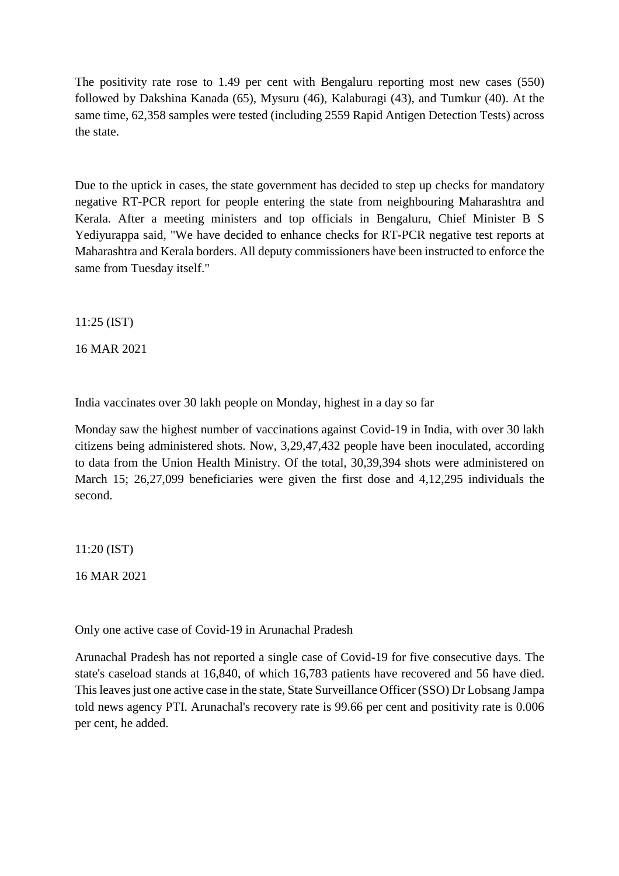The positivity rate rose to 1.49 per cent with Bengaluru reporting most new cases (550) followed by Dakshina Kanada (65), Mysuru (46), Kalaburagi (43), and Tumkur (40). At the same time, 62,358 samples were tested (including 2559 Rapid Antigen Detection Tests) across the state.

Due to the uptick in cases, the state government has decided to step up checks for mandatory negative RT-PCR report for people entering the state from neighbouring Maharashtra and Kerala. After a meeting ministers and top officials in Bengaluru, Chief Minister B S Yediyurappa said, "We have decided to enhance checks for RT-PCR negative test reports at Maharashtra and Kerala borders. All deputy commissioners have been instructed to enforce the same from Tuesday itself."

11:25 (IST)

16 MAR 2021

India vaccinates over 30 lakh people on Monday, highest in a day so far

Monday saw the highest number of vaccinations against Covid-19 in India, with over 30 lakh citizens being administered shots. Now, 3,29,47,432 people have been inoculated, according to data from the Union Health Ministry. Of the total, 30,39,394 shots were administered on March 15; 26,27,099 beneficiaries were given the first dose and 4,12,295 individuals the second.

11:20 (IST)

16 MAR 2021

Only one active case of Covid-19 in Arunachal Pradesh

Arunachal Pradesh has not reported a single case of Covid-19 for five consecutive days. The state's caseload stands at 16,840, of which 16,783 patients have recovered and 56 have died. This leaves just one active case in the state, State Surveillance Officer (SSO) Dr Lobsang Jampa told news agency PTI. Arunachal's recovery rate is 99.66 per cent and positivity rate is 0.006 per cent, he added.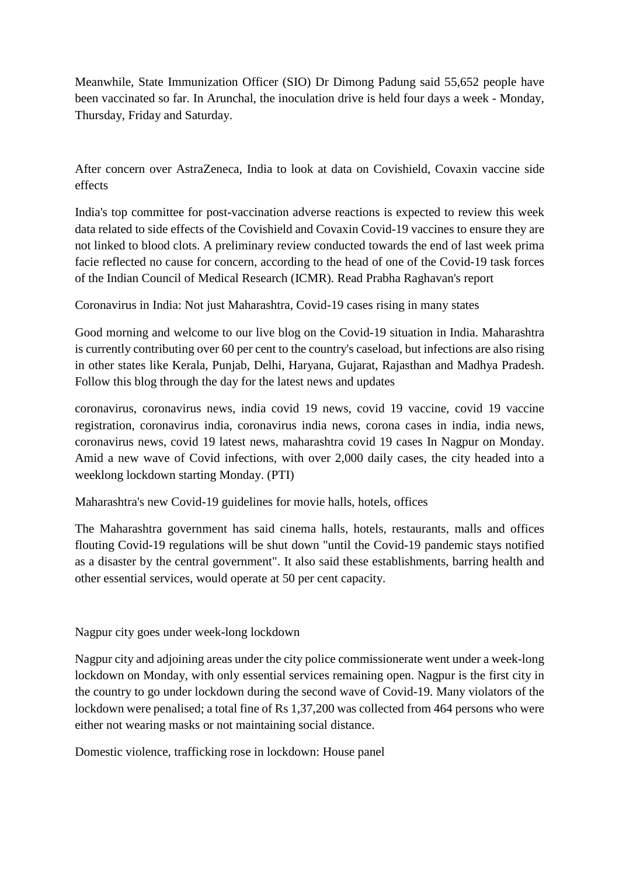Meanwhile, State Immunization Officer (SIO) Dr Dimong Padung said 55,652 people have been vaccinated so far. In Arunchal, the inoculation drive is held four days a week - Monday, Thursday, Friday and Saturday.

After concern over AstraZeneca, India to look at data on Covishield, Covaxin vaccine side effects

India's top committee for post-vaccination adverse reactions is expected to review this week data related to side effects of the Covishield and Covaxin Covid-19 vaccines to ensure they are not linked to blood clots. A preliminary review conducted towards the end of last week prima facie reflected no cause for concern, according to the head of one of the Covid-19 task forces of the Indian Council of Medical Research (ICMR). Read Prabha Raghavan's report

Coronavirus in India: Not just Maharashtra, Covid-19 cases rising in many states

Good morning and welcome to our live blog on the Covid-19 situation in India. Maharashtra is currently contributing over 60 per cent to the country's caseload, but infections are also rising in other states like Kerala, Punjab, Delhi, Haryana, Gujarat, Rajasthan and Madhya Pradesh. Follow this blog through the day for the latest news and updates

coronavirus, coronavirus news, india covid 19 news, covid 19 vaccine, covid 19 vaccine registration, coronavirus india, coronavirus india news, corona cases in india, india news, coronavirus news, covid 19 latest news, maharashtra covid 19 cases In Nagpur on Monday. Amid a new wave of Covid infections, with over 2,000 daily cases, the city headed into a weeklong lockdown starting Monday. (PTI)

Maharashtra's new Covid-19 guidelines for movie halls, hotels, offices

The Maharashtra government has said cinema halls, hotels, restaurants, malls and offices flouting Covid-19 regulations will be shut down "until the Covid-19 pandemic stays notified as a disaster by the central government". It also said these establishments, barring health and other essential services, would operate at 50 per cent capacity.

Nagpur city goes under week-long lockdown

Nagpur city and adjoining areas under the city police commissionerate went under a week-long lockdown on Monday, with only essential services remaining open. Nagpur is the first city in the country to go under lockdown during the second wave of Covid-19. Many violators of the lockdown were penalised; a total fine of Rs 1,37,200 was collected from 464 persons who were either not wearing masks or not maintaining social distance.

Domestic violence, trafficking rose in lockdown: House panel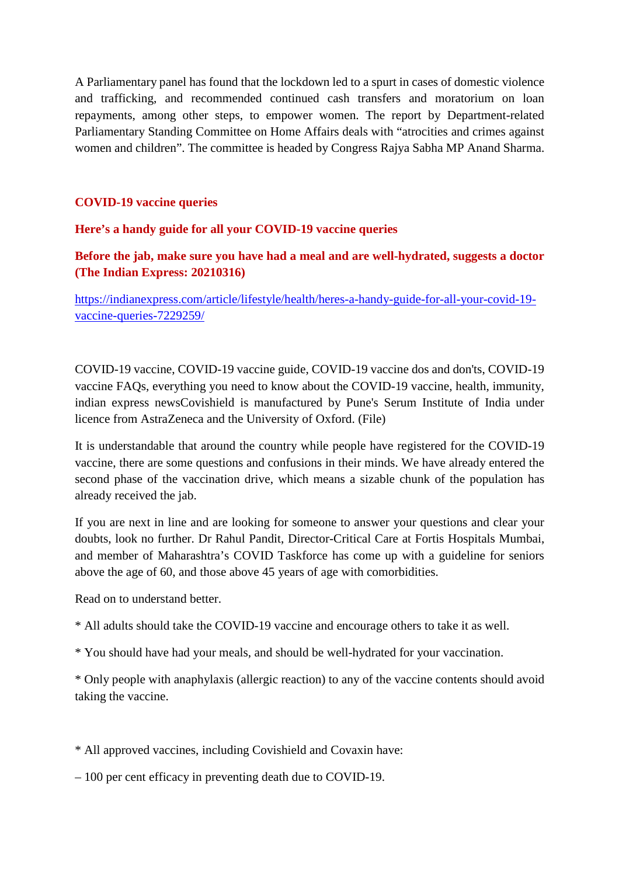A Parliamentary panel has found that the lockdown led to a spurt in cases of domestic violence and trafficking, and recommended continued cash transfers and moratorium on loan repayments, among other steps, to empower women. The report by Department-related Parliamentary Standing Committee on Home Affairs deals with "atrocities and crimes against women and children". The committee is headed by Congress Rajya Sabha MP Anand Sharma.

#### **COVID-19 vaccine queries**

#### **Here's a handy guide for all your COVID-19 vaccine queries**

#### **Before the jab, make sure you have had a meal and are well-hydrated, suggests a doctor (The Indian Express: 20210316)**

https://indianexpress.com/article/lifestyle/health/heres-a-handy-guide-for-all-your-covid-19 vaccine-queries-7229259/

COVID-19 vaccine, COVID-19 vaccine guide, COVID-19 vaccine dos and don'ts, COVID-19 vaccine FAQs, everything you need to know about the COVID-19 vaccine, health, immunity, indian express newsCovishield is manufactured by Pune's Serum Institute of India under licence from AstraZeneca and the University of Oxford. (File)

It is understandable that around the country while people have registered for the COVID-19 vaccine, there are some questions and confusions in their minds. We have already entered the second phase of the vaccination drive, which means a sizable chunk of the population has already received the jab.

If you are next in line and are looking for someone to answer your questions and clear your doubts, look no further. Dr Rahul Pandit, Director-Critical Care at Fortis Hospitals Mumbai, and member of Maharashtra's COVID Taskforce has come up with a guideline for seniors above the age of 60, and those above 45 years of age with comorbidities.

Read on to understand better.

- \* All adults should take the COVID-19 vaccine and encourage others to take it as well.
- \* You should have had your meals, and should be well-hydrated for your vaccination.

\* Only people with anaphylaxis (allergic reaction) to any of the vaccine contents should avoid taking the vaccine.

\* All approved vaccines, including Covishield and Covaxin have:

– 100 per cent efficacy in preventing death due to COVID-19.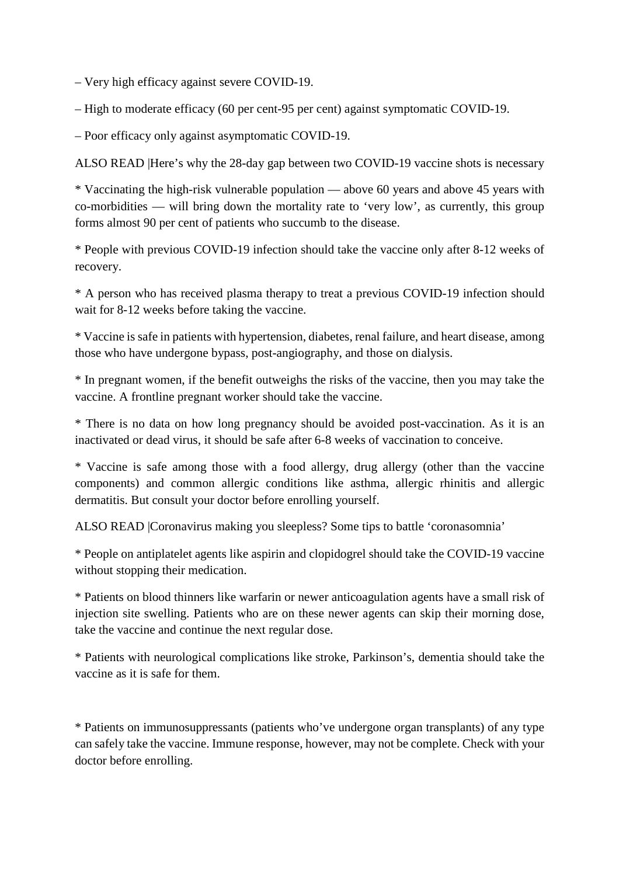– Very high efficacy against severe COVID-19.

– High to moderate efficacy (60 per cent-95 per cent) against symptomatic COVID-19.

– Poor efficacy only against asymptomatic COVID-19.

ALSO READ |Here's why the 28-day gap between two COVID-19 vaccine shots is necessary

\* Vaccinating the high-risk vulnerable population — above 60 years and above 45 years with co-morbidities — will bring down the mortality rate to 'very low', as currently, this group forms almost 90 per cent of patients who succumb to the disease.

\* People with previous COVID-19 infection should take the vaccine only after 8-12 weeks of recovery.

\* A person who has received plasma therapy to treat a previous COVID-19 infection should wait for 8-12 weeks before taking the vaccine.

\* Vaccine is safe in patients with hypertension, diabetes, renal failure, and heart disease, among those who have undergone bypass, post-angiography, and those on dialysis.

\* In pregnant women, if the benefit outweighs the risks of the vaccine, then you may take the vaccine. A frontline pregnant worker should take the vaccine.

\* There is no data on how long pregnancy should be avoided post-vaccination. As it is an inactivated or dead virus, it should be safe after 6-8 weeks of vaccination to conceive.

\* Vaccine is safe among those with a food allergy, drug allergy (other than the vaccine components) and common allergic conditions like asthma, allergic rhinitis and allergic dermatitis. But consult your doctor before enrolling yourself.

ALSO READ |Coronavirus making you sleepless? Some tips to battle 'coronasomnia'

\* People on antiplatelet agents like aspirin and clopidogrel should take the COVID-19 vaccine without stopping their medication.

\* Patients on blood thinners like warfarin or newer anticoagulation agents have a small risk of injection site swelling. Patients who are on these newer agents can skip their morning dose, take the vaccine and continue the next regular dose.

\* Patients with neurological complications like stroke, Parkinson's, dementia should take the vaccine as it is safe for them.

\* Patients on immunosuppressants (patients who've undergone organ transplants) of any type can safely take the vaccine. Immune response, however, may not be complete. Check with your doctor before enrolling.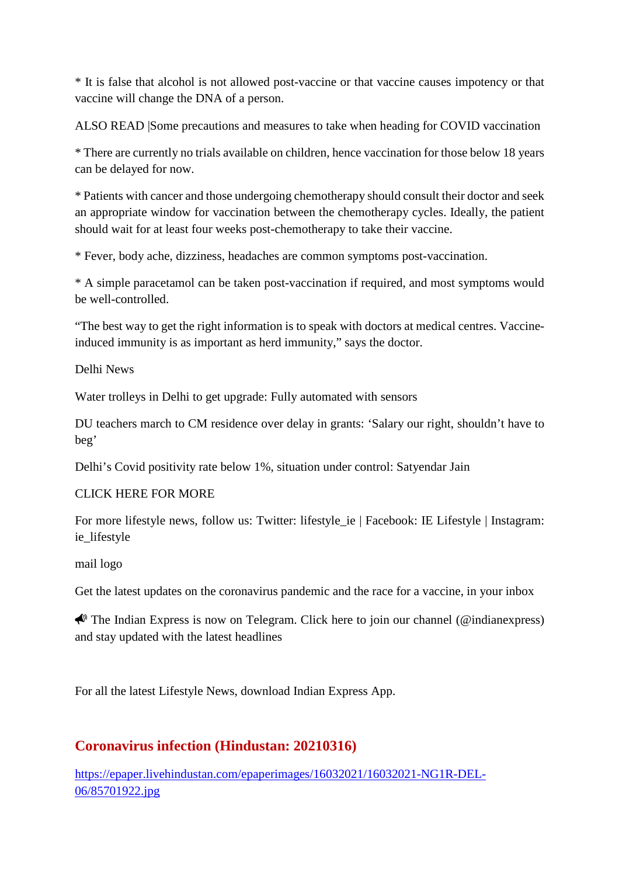\* It is false that alcohol is not allowed post-vaccine or that vaccine causes impotency or that vaccine will change the DNA of a person.

ALSO READ |Some precautions and measures to take when heading for COVID vaccination

\* There are currently no trials available on children, hence vaccination for those below 18 years can be delayed for now.

\* Patients with cancer and those undergoing chemotherapy should consult their doctor and seek an appropriate window for vaccination between the chemotherapy cycles. Ideally, the patient should wait for at least four weeks post-chemotherapy to take their vaccine.

\* Fever, body ache, dizziness, headaches are common symptoms post-vaccination.

\* A simple paracetamol can be taken post-vaccination if required, and most symptoms would be well-controlled.

"The best way to get the right information is to speak with doctors at medical centres. Vaccineinduced immunity is as important as herd immunity," says the doctor.

Delhi News

Water trolleys in Delhi to get upgrade: Fully automated with sensors

DU teachers march to CM residence over delay in grants: 'Salary our right, shouldn't have to beg'

Delhi's Covid positivity rate below 1%, situation under control: Satyendar Jain

#### CLICK HERE FOR MORE

For more lifestyle news, follow us: Twitter: lifestyle\_ie | Facebook: IE Lifestyle | Instagram: ie lifestyle

mail logo

Get the latest updates on the coronavirus pandemic and the race for a vaccine, in your inbox

 $\bigtriangleup$  The Indian Express is now on Telegram. Click here to join our channel (@indianexpress) and stay updated with the latest headlines

For all the latest Lifestyle News, download Indian Express App.

## **Coronavirus infection (Hindustan: 20210316)**

https://epaper.livehindustan.com/epaperimages/16032021/16032021-NG1R-DEL-06/85701922.jpg